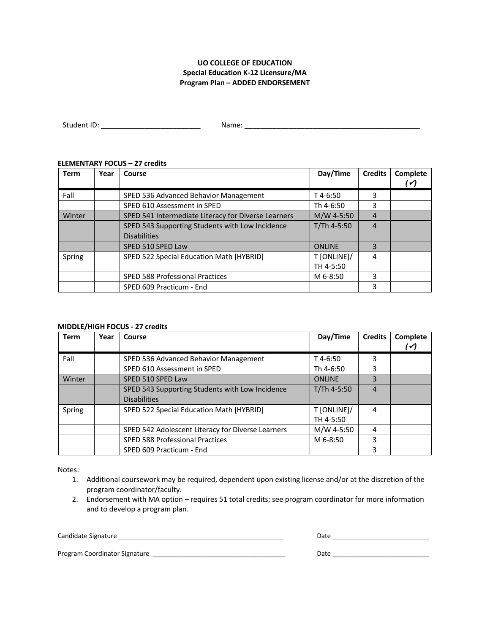## **UO COLLEGE OF EDUCATION Special Education K-12 Licensure/MA Program Plan – ADDED ENDORSEMENT**

| Student ID:   | $\sim$ $\sim$ $\sim$ |
|---------------|----------------------|
|               | _____                |
| _____________ |                      |

## **ELEMENTARY FOCUS – 27 credits**

| <b>Term</b> | Year | Course                                              | Day/Time      | <b>Credits</b> | Complete<br>$\checkmark$ |
|-------------|------|-----------------------------------------------------|---------------|----------------|--------------------------|
| Fall        |      | SPED 536 Advanced Behavior Management               | T 4-6:50      | 3              |                          |
|             |      | SPED 610 Assessment in SPED                         | Th 4-6:50     | 3              |                          |
| Winter      |      | SPED 541 Intermediate Literacy for Diverse Learners | M/W 4-5:50    | 4              |                          |
|             |      | SPED 543 Supporting Students with Low Incidence     | T/Th 4-5:50   | 4              |                          |
|             |      | <b>Disabilities</b>                                 |               |                |                          |
|             |      | SPED 510 SPED Law                                   | <b>ONLINE</b> | 3              |                          |
| Spring      |      | SPED 522 Special Education Math [HYBRID]            | T [ONLINE]/   | 4              |                          |
|             |      |                                                     | TH 4-5:50     |                |                          |
|             |      | SPED 588 Professional Practices                     | M 6-8:50      | 3              |                          |
|             |      | SPED 609 Practicum - End                            |               | 3              |                          |

## **MIDDLE/HIGH FOCUS - 27 credits**

| <b>Term</b> | Year | Course                                            | Day/Time      | <b>Credits</b> | Complete     |
|-------------|------|---------------------------------------------------|---------------|----------------|--------------|
|             |      |                                                   |               |                | $\checkmark$ |
| Fall        |      | SPED 536 Advanced Behavior Management             | $T$ 4-6:50    | 3              |              |
|             |      | SPED 610 Assessment in SPED                       | Th 4-6:50     | 3              |              |
| Winter      |      | SPED 510 SPED Law                                 | <b>ONLINE</b> | 3              |              |
|             |      | SPED 543 Supporting Students with Low Incidence   | $T/Th$ 4-5:50 | 4              |              |
|             |      | <b>Disabilities</b>                               |               |                |              |
| Spring      |      | SPED 522 Special Education Math [HYBRID]          | T [ONLINE]/   | 4              |              |
|             |      |                                                   | TH 4-5:50     |                |              |
|             |      | SPED 542 Adolescent Literacy for Diverse Learners | M/W 4-5:50    | 4              |              |
|             |      | <b>SPED 588 Professional Practices</b>            | M 6-8:50      | 3              |              |
|             |      | SPED 609 Practicum - End                          |               | 3              |              |

Notes:

- 1. Additional coursework may be required, dependent upon existing license and/or at the discretion of the program coordinator/faculty.
- 2. Endorsement with MA option requires 51 total credits; see program coordinator for more information and to develop a program plan.

Candidate Signature \_\_\_\_\_\_\_\_\_\_\_\_\_\_\_\_\_\_\_\_\_\_\_\_\_\_\_\_\_\_\_\_\_\_\_\_\_\_\_\_\_\_\_\_\_\_ Date \_\_\_\_\_\_\_\_\_\_\_\_\_\_\_\_\_\_\_\_\_\_\_\_\_\_\_

| Ata<br>-- |  |  |  |
|-----------|--|--|--|
|           |  |  |  |

Program Coordinator Signature \_\_\_\_\_\_\_\_\_\_\_\_\_\_\_\_\_\_\_\_\_\_\_\_\_\_\_\_\_\_\_\_\_\_\_\_\_ Date \_\_\_\_\_\_\_\_\_\_\_\_\_\_\_\_\_\_\_\_\_\_\_\_\_\_\_